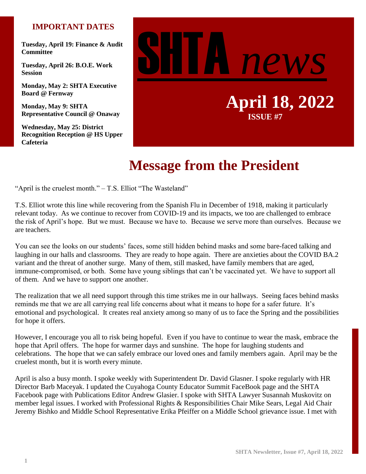### **IMPORTANT DATES**

**Tuesday, April 19: Finance & Audit Committee**

**Tuesday, April 26: B.O.E. Work Session**

**Monday, May 2: SHTA Executive Board @ Fernway**

**Monday, May 9: SHTA Representative Council @ Onaway**

**Wednesday, May 25: District Recognition Reception @ HS Upper Cafeteria**



# **Message from the President**

"April is the cruelest month." – T.S. Elliot "The Wasteland"

T.S. Elliot wrote this line while recovering from the Spanish Flu in December of 1918, making it particularly relevant today. As we continue to recover from COVID-19 and its impacts, we too are challenged to embrace the risk of April's hope. But we must. Because we have to. Because we serve more than ourselves. Because we are teachers.

You can see the looks on our students' faces, some still hidden behind masks and some bare-faced talking and laughing in our halls and classrooms. They are ready to hope again. There are anxieties about the COVID BA.2 variant and the threat of another surge. Many of them, still masked, have family members that are aged, immune-compromised, or both. Some have young siblings that can't be vaccinated yet. We have to support all of them. And we have to support one another.

The realization that we all need support through this time strikes me in our hallways. Seeing faces behind masks reminds me that we are all carrying real life concerns about what it means to hope for a safer future. It's emotional and psychological. It creates real anxiety among so many of us to face the Spring and the possibilities for hope it offers.

However, I encourage you all to risk being hopeful. Even if you have to continue to wear the mask, embrace the hope that April offers. The hope for warmer days and sunshine. The hope for laughing students and celebrations. The hope that we can safely embrace our loved ones and family members again. April may be the cruelest month, but it is worth every minute.

April is also a busy month. I spoke weekly with Superintendent Dr. David Glasner. I spoke regularly with HR Director Barb Maceyak. I updated the Cuyahoga County Educator Summit FaceBook page and the SHTA Facebook page with Publications Editor Andrew Glasier. I spoke with SHTA Lawyer Susannah Muskovitz on member legal issues. I worked with Professional Rights & Responsibilities Chair Mike Sears, Legal Aid Chair Jeremy Bishko and Middle School Representative Erika Pfeiffer on a Middle School grievance issue. I met with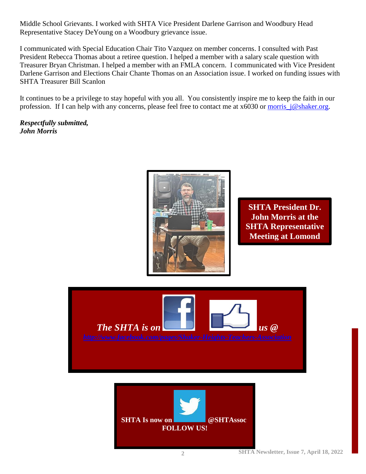Middle School Grievants. I worked with SHTA Vice President Darlene Garrison and Woodbury Head Representative Stacey DeYoung on a Woodbury grievance issue.

I communicated with Special Education Chair Tito Vazquez on member concerns. I consulted with Past President Rebecca Thomas about a retiree question. I helped a member with a salary scale question with Treasurer Bryan Christman. I helped a member with an FMLA concern. I communicated with Vice President Darlene Garrison and Elections Chair Chante Thomas on an Association issue. I worked on funding issues with SHTA Treasurer Bill Scanlon

It continues to be a privilege to stay hopeful with you all. You consistently inspire me to keep the faith in our profession. If I can help with any concerns, please feel free to contact me at x6030 or [morris\\_j@shaker.org.](mailto:morris_j@shaker.org)

*Respectfully submitted, John Morris*



**SHTA President Dr. John Morris at the SHTA Representative Meeting at Lomond** 

**School.**



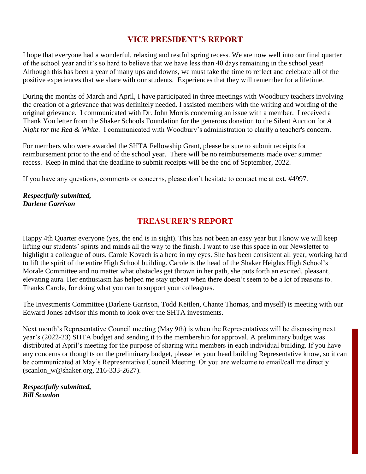## **VICE PRESIDENT'S REPORT**

I hope that everyone had a wonderful, relaxing and restful spring recess. We are now well into our final quarter of the school year and it's so hard to believe that we have less than 40 days remaining in the school year! Although this has been a year of many ups and downs, we must take the time to reflect and celebrate all of the positive experiences that we share with our students. Experiences that they will remember for a lifetime.

During the months of March and April, I have participated in three meetings with Woodbury teachers involving the creation of a grievance that was definitely needed. I assisted members with the writing and wording of the original grievance. I communicated with Dr. John Morris concerning an issue with a member. I received a Thank You letter from the Shaker Schools Foundation for the generous donation to the Silent Auction for *A Night for the Red & White*. I communicated with Woodbury's administration to clarify a teacher's concern.

For members who were awarded the SHTA Fellowship Grant, please be sure to submit receipts for reimbursement prior to the end of the school year. There will be no reimbursements made over summer recess. Keep in mind that the deadline to submit receipts will be the end of September, 2022.

If you have any questions, comments or concerns, please don't hesitate to contact me at ext. #4997.

#### *Respectfully submitted, Darlene Garrison*

## **TREASURER'S REPORT**

Happy 4th Quarter everyone (yes, the end is in sight). This has not been an easy year but I know we will keep lifting our students' spirits and minds all the way to the finish. I want to use this space in our Newsletter to highlight a colleague of ours. Carole Kovach is a hero in my eyes. She has been consistent all year, working hard to lift the spirit of the entire High School building. Carole is the head of the Shaker Heights High School's Morale Committee and no matter what obstacles get thrown in her path, she puts forth an excited, pleasant, elevating aura. Her enthusiasm has helped me stay upbeat when there doesn't seem to be a lot of reasons to. Thanks Carole, for doing what you can to support your colleagues.

The Investments Committee (Darlene Garrison, Todd Keitlen, Chante Thomas, and myself) is meeting with our Edward Jones advisor this month to look over the SHTA investments.

Next month's Representative Council meeting (May 9th) is when the Representatives will be discussing next year's (2022-23) SHTA budget and sending it to the membership for approval. A preliminary budget was distributed at April's meeting for the purpose of sharing with members in each individual building. If you have any concerns or thoughts on the preliminary budget, please let your head building Representative know, so it can be communicated at May's Representative Council Meeting. Or you are welcome to email/call me directly (scanlon\_w@shaker.org, 216-333-2627).

*Respectfully submitted, Bill Scanlon*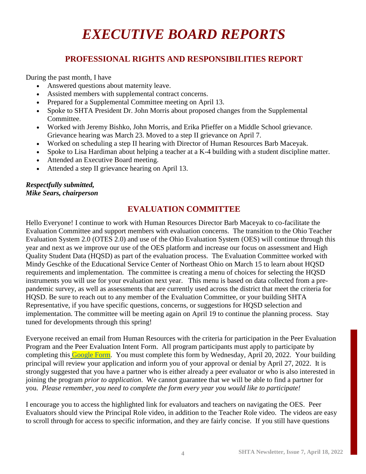## *EXECUTIVE BOARD REPORTS*

## **PROFESSIONAL RIGHTS AND RESPONSIBILITIES REPORT**

During the past month, I have

- Answered questions about maternity leave.
- Assisted members with supplemental contract concerns.
- Prepared for a Supplemental Committee meeting on April 13.
- Spoke to SHTA President Dr. John Morris about proposed changes from the Supplemental Committee.
- Worked with Jeremy Bishko, John Morris, and Erika Pfieffer on a Middle School grievance. Grievance hearing was March 23. Moved to a step II grievance on April 7.
- Worked on scheduling a step II hearing with Director of Human Resources Barb Maceyak.
- Spoke to Lisa Hardiman about helping a teacher at a K-4 building with a student discipline matter.
- Attended an Executive Board meeting.
- Attended a step II grievance hearing on April 13.

#### *Respectfully submitted, Mike Sears, chairperson*

## **EVALUATION COMMITTEE**

Hello Everyone! I continue to work with Human Resources Director Barb Maceyak to co-facilitate the Evaluation Committee and support members with evaluation concerns. The transition to the Ohio Teacher Evaluation System 2.0 (OTES 2.0) and use of the Ohio Evaluation System (OES) will continue through this year and next as we improve our use of the OES platform and increase our focus on assessment and High Quality Student Data (HQSD) as part of the evaluation process. The Evaluation Committee worked with Mindy Geschke of the Educational Service Center of Northeast Ohio on March 15 to learn about HQSD requirements and implementation. The committee is creating a menu of choices for selecting the HQSD instruments you will use for your evaluation next year. This menu is based on data collected from a prepandemic survey, as well as assessments that are currently used across the district that meet the criteria for HQSD. Be sure to reach out to any member of the Evaluation Committee, or your building SHTA Representative, if you have specific questions, concerns, or suggestions for HQSD selection and implementation. The committee will be meeting again on April 19 to continue the planning process. Stay tuned for developments through this spring!

Everyone received an email from Human Resources with the criteria for participation in the Peer Evaluation Program and the Peer Evaluation Intent Form. All program participants must apply to participate by completing this [Google Form.](https://docs.google.com/forms/d/e/1FAIpQLScHlhpQHwXELtjJR1mO6q_VROoSDxfg7GiQW0_RwcNLYR35cQ/viewform?usp=sf_link) You must complete this form by Wednesday, April 20, 2022. Your building principal will review your application and inform you of your approval or denial by April 27, 2022. It is strongly suggested that you have a partner who is either already a peer evaluator or who is also interested in joining the program *prior to application*. We cannot guarantee that we will be able to find a partner for you. *Please remember, you need to complete the form every year you would like to participate!*

I encourage you to access the highlighted link for evaluators and teachers on navigating the OES. Peer Evaluators should view the Principal Role video, in addition to the Teacher Role video. The videos are easy to scroll through for access to specific information, and they are fairly concise. If you still have questions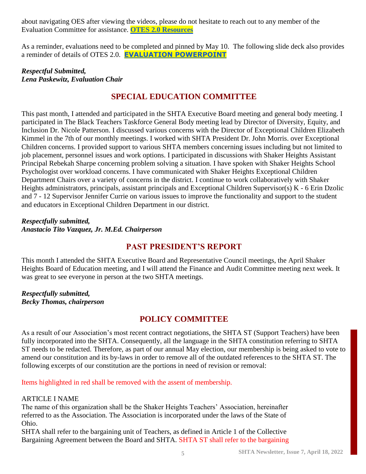about navigating OES after viewing the videos, please do not hesitate to reach out to any member of the Evaluation Committee for assistance. **[OTES 2.0 Resources](https://docs.google.com/presentation/d/1ImaSSHvfdLwOFLSazlR9qKckTUw2CvPT2Udyc1W_rrQ/edit?usp=sharing)**

As a reminder, evaluations need to be completed and pinned by May 10. The following slide deck also provides a reminder of details of OTES 2.0. **[EVALUATION POWERPOINT](https://docs.google.com/presentation/u/0/d/1wPm_xsDTMM6KvPoBJNRmiu57GkP1AyTQl51-iMB971Q/edit)**

#### *Respectful Submitted, Lena Paskewitz, Evaluation Chair*

## **SPECIAL EDUCATION COMMITTEE**

This past month, I attended and participated in the SHTA Executive Board meeting and general body meeting. I participated in The Black Teachers Taskforce General Body meeting lead by Director of Diversity, Equity, and Inclusion Dr. Nicole Patterson. I discussed various concerns with the Director of Exceptional Children Elizabeth Kimmel in the 7th of our monthly meetings. I worked with SHTA President Dr. John Morris. over Exceptional Children concerns. I provided support to various SHTA members concerning issues including but not limited to job placement, personnel issues and work options. I participated in discussions with Shaker Heights Assistant Principal Rebekah Sharpe concerning problem solving a situation. I have spoken with Shaker Heights School Psychologist over workload concerns. I have communicated with Shaker Heights Exceptional Children Department Chairs over a variety of concerns in the district. I continue to work collaboratively with Shaker Heights administrators, principals, assistant principals and Exceptional Children Supervisor(s) K - 6 Erin Dzolic and 7 - 12 Supervisor Jennifer Currie on various issues to improve the functionality and support to the student and educators in Exceptional Children Department in our district.

#### *Respectfully submitted, Anastacio Tito Vazquez, Jr. M.Ed. Chairperson*

### **PAST PRESIDENT'S REPORT**

This month I attended the SHTA Executive Board and Representative Council meetings, the April Shaker Heights Board of Education meeting, and I will attend the Finance and Audit Committee meeting next week. It was great to see everyone in person at the two SHTA meetings.

*Respectfully submitted, Becky Thomas, chairperson*

## **POLICY COMMITTEE**

As a result of our Association's most recent contract negotiations, the SHTA ST (Support Teachers) have been fully incorporated into the SHTA. Consequently, all the language in the SHTA constitution referring to SHTA ST needs to be redacted. Therefore, as part of our annual May election, our membership is being asked to vote to amend our constitution and its by-laws in order to remove all of the outdated references to the SHTA ST. The following excerpts of our constitution are the portions in need of revision or removal:

Items highlighted in red shall be removed with the assent of membership.

#### ARTICLE I NAME

The name of this organization shall be the Shaker Heights Teachers' Association, hereinafter referred to as the Association. The Association is incorporated under the laws of the State of Ohio.

SHTA shall refer to the bargaining unit of Teachers, as defined in Article 1 of the Collective Bargaining Agreement between the Board and SHTA. SHTA ST shall refer to the bargaining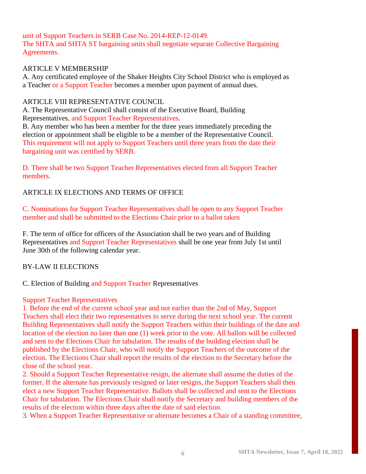#### unit of Support Teachers in SERB Case No. 2014-REP-12-0149. The SHTA and SHTA ST bargaining units shall negotiate separate Collective Bargaining Agreements.

#### ARTICLE V MEMBERSHIP

A. Any certificated employee of the Shaker Heights City School District who is employed as a Teacher or a Support Teacher becomes a member upon payment of annual dues.

#### ARTICLE VIII REPRESENTATIVE COUNCIL

A. The Representative Council shall consist of the Executive Board, Building Representatives, and Support Teacher Representatives.

B. Any member who has been a member for the three years immediately preceding the election or appointment shall be eligible to be a member of the Representative Council. This requirement will not apply to Support Teachers until three years from the date their bargaining unit was certified by SERB.

D. There shall be two Support Teacher Representatives elected from all Support Teacher members.

#### ARTICLE IX ELECTIONS AND TERMS OF OFFICE

C. Nominations for Support Teacher Representatives shall be open to any Support Teacher member and shall be submitted to the Elections Chair prior to a ballot taken

F. The term of office for officers of the Association shall be two years and of Building Representatives and Support Teacher Representatives shall be one year from July 1st until June 30th of the following calendar year.

#### BY-LAW II ELECTIONS

C. Election of Building and Support Teacher Representatives

#### Support Teacher Representatives

1. Before the end of the current school year and not earlier than the 2nd of May, Support Teachers shall elect their two representatives to serve during the next school year. The current Building Representatives shall notify the Support Teachers within their buildings of the date and location of the election no later than one (1) week prior to the vote. All ballots will be collected and sent to the Elections Chair for tabulation. The results of the building election shall be published by the Elections Chair, who will notify the Support Teachers of the outcome of the election. The Elections Chair shall report the results of the election to the Secretary before the close of the school year.

2. Should a Support Teacher Representative resign, the alternate shall assume the duties of the former. If the alternate has previously resigned or later resigns, the Support Teachers shall then elect a new Support Teacher Representative. Ballots shall be collected and sent to the Elections Chair for tabulation. The Elections Chair shall notify the Secretary and building members of the results of the election within three days after the date of said election.

3. When a Support Teacher Representative or alternate becomes a Chair of a standing committee,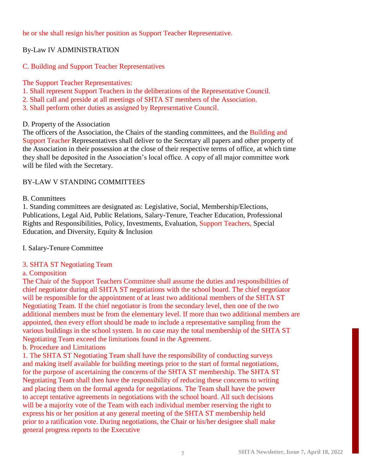he or she shall resign his/her position as Support Teacher Representative.

#### By-Law IV ADMINISTRATION

#### C. Building and Support Teacher Representatives

#### The Support Teacher Representatives:

- 1. Shall represent Support Teachers in the deliberations of the Representative Council.
- 2. Shall call and preside at all meetings of SHTA ST members of the Association.
- 3. Shall perform other duties as assigned by Representative Council.

#### D. Property of the Association

The officers of the Association, the Chairs of the standing committees, and the Building and Support Teacher Representatives shall deliver to the Secretary all papers and other property of the Association in their possession at the close of their respective terms of office, at which time they shall be deposited in the Association's local office. A copy of all major committee work will be filed with the Secretary.

#### BY-LAW V STANDING COMMITTEES

#### B. Committees

1. Standing committees are designated as: Legislative, Social, Membership/Elections, Publications, Legal Aid, Public Relations, Salary-Tenure, Teacher Education, Professional Rights and Responsibilities, Policy, Investments, Evaluation, Support Teachers, Special Education, and Diversity, Equity & Inclusion

#### I. Salary-Tenure Committee

#### 3. SHTA ST Negotiating Team

#### a. Composition

The Chair of the Support Teachers Committee shall assume the duties and responsibilities of chief negotiator during all SHTA ST negotiations with the school board. The chief negotiator will be responsible for the appointment of at least two additional members of the SHTA ST Negotiating Team. If the chief negotiator is from the secondary level, then one of the two additional members must be from the elementary level. If more than two additional members are appointed, then every effort should be made to include a representative sampling from the various buildings in the school system. In no case may the total membership of the SHTA ST Negotiating Team exceed the limitations found in the Agreement.

#### b. Procedure and Limitations

1. The SHTA ST Negotiating Team shall have the responsibility of conducting surveys and making itself available for building meetings prior to the start of formal negotiations, for the purpose of ascertaining the concerns of the SHTA ST membership. The SHTA ST Negotiating Team shall then have the responsibility of reducing these concerns to writing and placing them on the formal agenda for negotiations. The Team shall have the power to accept tentative agreements in negotiations with the school board. All such decisions will be a majority vote of the Team with each individual member reserving the right to express his or her position at any general meeting of the SHTA ST membership held prior to a ratification vote. During negotiations, the Chair or his/her designee shall make general progress reports to the Executive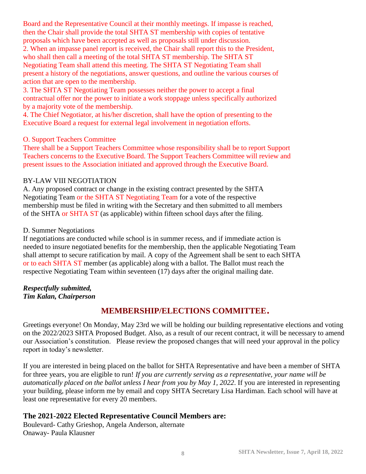Board and the Representative Council at their monthly meetings. If impasse is reached, then the Chair shall provide the total SHTA ST membership with copies of tentative proposals which have been accepted as well as proposals still under discussion. 2. When an impasse panel report is received, the Chair shall report this to the President, who shall then call a meeting of the total SHTA ST membership. The SHTA ST Negotiating Team shall attend this meeting. The SHTA ST Negotiating Team shall present a history of the negotiations, answer questions, and outline the various courses of

action that are open to the membership.

3. The SHTA ST Negotiating Team possesses neither the power to accept a final contractual offer nor the power to initiate a work stoppage unless specifically authorized by a majority vote of the membership.

4. The Chief Negotiator, at his/her discretion, shall have the option of presenting to the Executive Board a request for external legal involvement in negotiation efforts.

#### O. Support Teachers Committee

There shall be a Support Teachers Committee whose responsibility shall be to report Support Teachers concerns to the Executive Board. The Support Teachers Committee will review and present issues to the Association initiated and approved through the Executive Board.

#### BY-LAW VIII NEGOTIATION

A. Any proposed contract or change in the existing contract presented by the SHTA Negotiating Team or the SHTA ST Negotiating Team for a vote of the respective membership must be filed in writing with the Secretary and then submitted to all members of the SHTA or SHTA ST (as applicable) within fifteen school days after the filing.

#### D. Summer Negotiations

If negotiations are conducted while school is in summer recess, and if immediate action is needed to insure negotiated benefits for the membership, then the applicable Negotiating Team shall attempt to secure ratification by mail. A copy of the Agreement shall be sent to each SHTA or to each SHTA ST member (as applicable) along with a ballot. The Ballot must reach the respective Negotiating Team within seventeen (17) days after the original mailing date.

*Respectfully submitted, Tim Kalan, Chairperson*

## **MEMBERSHIP/ELECTIONS COMMITTEE**.

Greetings everyone! On Monday, May 23rd we will be holding our building representative elections and voting on the 2022/2023 SHTA Proposed Budget. Also, as a result of our recent contract, it will be necessary to amend our Association's constitution. Please review the proposed changes that will need your approval in the policy report in today's newsletter.

If you are interested in being placed on the ballot for SHTA Representative and have been a member of SHTA for three years, you are eligible to run! *If you are currently serving as a representative, your name will be automatically placed on the ballot unless I hear from you by May 1, 2022*. If you are interested in representing your building, please inform me by email and copy SHTA Secretary Lisa Hardiman. Each school will have at least one representative for every 20 members.

#### **The 2021-2022 Elected Representative Council Members are:**

Boulevard- Cathy Grieshop, Angela Anderson, alternate Onaway- Paula Klausner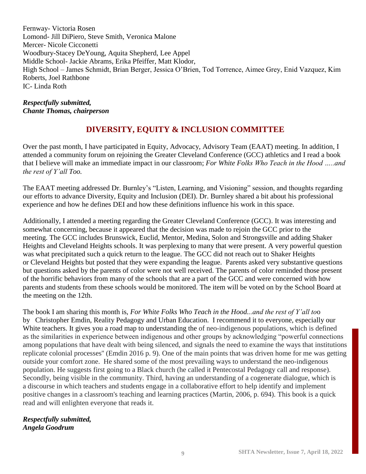Fernway- Victoria Rosen Lomond- Jill DiPiero, Steve Smith, Veronica Malone Mercer- Nicole Cicconetti Woodbury-Stacey DeYoung, Aquita Shepherd, Lee Appel Middle School- Jackie Abrams, Erika Pfeiffer, Matt Klodor, High School – James Schmidt, Brian Berger, Jessica O'Brien, Tod Torrence, Aimee Grey, Enid Vazquez, Kim Roberts, Joel Rathbone IC- Linda Roth

*Respectfully submitted, Chante Thomas, chairperson*

## **DIVERSITY, EQUITY & INCLUSION COMMITTEE**

Over the past month, I have participated in Equity, Advocacy, Advisory Team (EAAT) meeting. In addition, I attended a community forum on rejoining the Greater Cleveland Conference (GCC) athletics and I read a book that I believe will make an immediate impact in our classroom; *For White Folks Who Teach in the Hood …..and the rest of Y'all Too.*

The EAAT meeting addressed Dr. Burnley's "Listen, Learning, and Visioning" session, and thoughts regarding our efforts to advance Diversity, Equity and Inclusion (DEI). Dr. Burnley shared a bit about his professional experience and how he defines DEI and how these definitions influence his work in this space.

Additionally, I attended a meeting regarding the Greater Cleveland Conference (GCC). It was interesting and somewhat concerning, because it appeared that the decision was made to rejoin the GCC prior to the meeting. The GCC includes Brunswick, Euclid, Mentor, Medina, Solon and Strongsville and adding Shaker Heights and Cleveland Heights schools. It was perplexing to many that were present. A very powerful question was what precipitated such a quick return to the league. The GCC did not reach out to Shaker Heights or Cleveland Heights but posted that they were expanding the league. Parents asked very substantive questions but questions asked by the parents of color were not well received. The parents of color reminded those present of the horrific behaviors from many of the schools that are a part of the GCC and were concerned with how parents and students from these schools would be monitored. The item will be voted on by the School Board at the meeting on the 12th.

The book I am sharing this month is, *For White Folks Who Teach in the Hood...and the rest of Y'all to*o by Christopher Emdin, Reality Pedagogy and Urban Education. I recommend it to everyone, especially our White teachers. It gives you a road map to understanding the of neo-indigenous populations, which is defined as the similarities in experience between indigenous and other groups by acknowledging "powerful connections among populations that have dealt with being silenced, and signals the need to examine the ways that institutions replicate colonial processes'' (Emdin 2016 p. 9). One of the main points that was driven home for me was getting outside your comfort zone. He shared some of the most prevailing ways to understand the neo-indigenous population. He suggests first going to a Black church (he called it Pentecostal Pedagogy call and response). Secondly, being visible in the community. Third, having an understanding of a cogenerate dialogue, which is a discourse in which teachers and students engage in a collaborative effort to help identify and implement positive changes in a classroom's teaching and learning practices (Martin, 2006, p. 694). This book is a quick read and will enlighten everyone that reads it.

*Respectfully submitted, Angela Goodrum*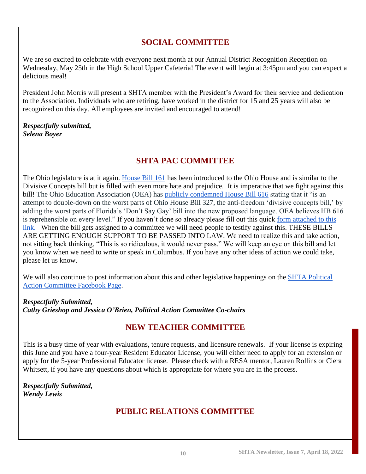## **SOCIAL COMMITTEE**

We are so excited to celebrate with everyone next month at our Annual District Recognition Reception on Wednesday, May 25th in the High School Upper Cafeteria! The event will begin at 3:45pm and you can expect a delicious meal!

President John Morris will present a SHTA member with the President's Award for their service and dedication to the Association. Individuals who are retiring, have worked in the district for 15 and 25 years will also be recognized on this day. All employees are invited and encouraged to attend!

#### *Respectfully submitted, Selena Boyer*

## **SHTA PAC COMMITTEE**

The Ohio legislature is at it again. [House Bill 161](https://ohea.org/actions/oppose-house-bill-616/) has been introduced to the Ohio House and is similar to the Divisive Concepts bill but is filled with even more hate and prejudice. It is imperative that we fight against this bill! The Ohio Education Association (OEA) has [publicly condemned House Bill 616](https://www.ohea.org/press-releases/2022/oea-denounces-hb616/) stating that it "is an attempt to double-down on the worst parts of Ohio House Bill 327, the anti-freedom 'divisive concepts bill,' by adding the worst parts of Florida's 'Don't Say Gay' bill into the new proposed language. OEA believes HB 616 is reprehensible on every level." If you haven't done so already please fill out this quick [form attached to this](https://www.ohea.org/actions/oppose-house-bill-616/)  [link.](https://www.ohea.org/actions/oppose-house-bill-616/) When the bill gets assigned to a committee we will need people to testify against this. THESE BILLS ARE GETTING ENOUGH SUPPORT TO BE PASSED INTO LAW. We need to realize this and take action, not sitting back thinking, "This is so ridiculous, it would never pass." We will keep an eye on this bill and let you know when we need to write or speak in Columbus. If you have any other ideas of action we could take, please let us know.

We will also continue to post information about this and other legislative happenings on the SHTA Political [Action Committee Facebook Page.](https://www.facebook.com/groups/218943172136501)

*Respectfully Submitted, Cathy Grieshop and Jessica O'Brien, Political Action Committee Co-chairs*

## **NEW TEACHER COMMITTEE**

This is a busy time of year with evaluations, tenure requests, and licensure renewals. If your license is expiring this June and you have a four-year Resident Educator License, you will either need to apply for an extension or apply for the 5-year Professional Educator license. Please check with a RESA mentor, Lauren Rollins or Ciera Whitsett, if you have any questions about which is appropriate for where you are in the process.

*Respectfully Submitted, Wendy Lewis*

## **PUBLIC RELATIONS COMMITTEE**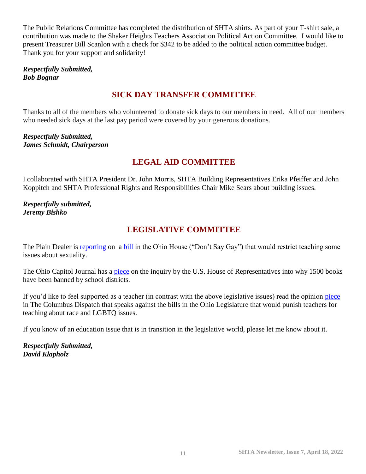The Public Relations Committee has completed the distribution of SHTA shirts. As part of your T-shirt sale, a contribution was made to the Shaker Heights Teachers Association Political Action Committee. I would like to present Treasurer Bill Scanlon with a check for \$342 to be added to the political action committee budget. Thank you for your support and solidarity!

#### *Respectfully Submitted, Bob Bognar*

## **SICK DAY TRANSFER COMMITTEE**

Thanks to all of the members who volunteered to donate sick days to our members in need. All of our members who needed sick days at the last pay period were covered by your generous donations.

*Respectfully Submitted, James Schmidt, Chairperson*

## **LEGAL AID COMMITTEE**

I collaborated with SHTA President Dr. John Morris, SHTA Building Representatives Erika Pfeiffer and John Koppitch and SHTA Professional Rights and Responsibilities Chair Mike Sears about building issues.

#### *Respectfully submitted, Jeremy Bishko*

## **LEGISLATIVE COMMITTEE**

The Plain Dealer is [reporting](https://www.cleveland.com/news/2022/04/ohio-chamber-of-commerce-concerned-about-dont-say-gay-and-racism-education-bill.html) on a [bill](https://search-prod.lis.state.oh.us/solarapi/v1/general_assembly_134/bills/hb616/IN/00/hb616_00_IN?format=pdf) in the Ohio House ("Don't Say Gay") that would restrict teaching some issues about sexuality.

The Ohio Capitol Journal has a [piece](https://ohiocapitaljournal.com/briefs/more-than-1500-books-have-been-banned-in-public-schools-and-a-u-s-house-panel-asks-why/) on the inquiry by the U.S. House of Representatives into why 1500 books have been banned by school districts.

If you'd like to feel supported as a teacher (in contrast with the above legislative issues) read the opinion [piece](https://www.dispatch.com/story/opinion/editorials/2022/04/10/what-impact-would-house-bill-616-have-ohio-educators-dont-day-gay-divisive-concepts-culture-war/9476556002/) in The Columbus Dispatch that speaks against the bills in the Ohio Legislature that would punish teachers for teaching about race and LGBTQ issues.

If you know of an education issue that is in transition in the legislative world, please let me know about it.

*Respectfully Submitted, David Klapholz*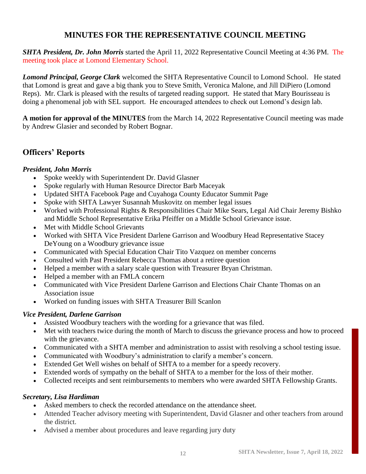## **MINUTES FOR THE REPRESENTATIVE COUNCIL MEETING**

*SHTA President, Dr. John Morris* started the April 11, 2022 Representative Council Meeting at 4:36 PM. The meeting took place at Lomond Elementary School.

*Lomond Principal, George Clark* welcomed the SHTA Representative Council to Lomond School. He stated that Lomond is great and gave a big thank you to Steve Smith, Veronica Malone, and Jill DiPiero (Lomond Reps). Mr. Clark is pleased with the results of targeted reading support. He stated that Mary Bourisseau is doing a phenomenal job with SEL support. He encouraged attendees to check out Lomond's design lab.

**A motion for approval of the MINUTES** from the March 14, 2022 Representative Council meeting was made by Andrew Glasier and seconded by Robert Bognar.

## **Officers' Reports**

#### *President, John Morris*

- Spoke weekly with Superintendent Dr. David Glasner
- Spoke regularly with Human Resource Director Barb Maceyak
- Updated SHTA Facebook Page and Cuyahoga County Educator Summit Page
- Spoke with SHTA Lawyer Susannah Muskovitz on member legal issues
- Worked with Professional Rights & Responsibilities Chair Mike Sears, Legal Aid Chair Jeremy Bishko and Middle School Representative Erika Pfeiffer on a Middle School Grievance issue.
- Met with Middle School Grievants
- Worked with SHTA Vice President Darlene Garrison and Woodbury Head Representative Stacey DeYoung on a Woodbury grievance issue
- Communicated with Special Education Chair Tito Vazquez on member concerns
- Consulted with Past President Rebecca Thomas about a retiree question
- Helped a member with a salary scale question with Treasurer Bryan Christman.
- Helped a member with an FMLA concern
- Communicated with Vice President Darlene Garrison and Elections Chair Chante Thomas on an Association issue
- Worked on funding issues with SHTA Treasurer Bill Scanlon

#### *Vice President, Darlene Garrison*

- Assisted Woodbury teachers with the wording for a grievance that was filed.
- Met with teachers twice during the month of March to discuss the grievance process and how to proceed with the grievance.
- Communicated with a SHTA member and administration to assist with resolving a school testing issue.
- Communicated with Woodbury's administration to clarify a member's concern.
- Extended Get Well wishes on behalf of SHTA to a member for a speedy recovery.
- Extended words of sympathy on the behalf of SHTA to a member for the loss of their mother.
- Collected receipts and sent reimbursements to members who were awarded SHTA Fellowship Grants.

#### *Secretary, Lisa Hardiman*

- Asked members to check the recorded attendance on the attendance sheet.
- Attended Teacher advisory meeting with Superintendent, David Glasner and other teachers from around the district.
- Advised a member about procedures and leave regarding jury duty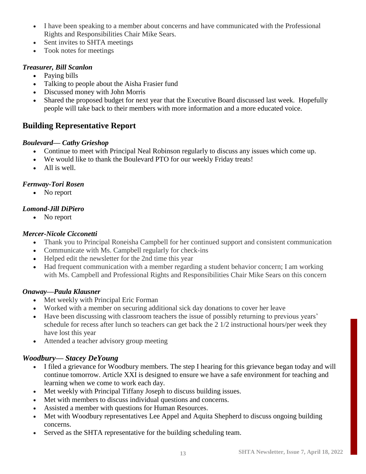- I have been speaking to a member about concerns and have communicated with the Professional Rights and Responsibilities Chair Mike Sears.
- Sent invites to SHTA meetings
- Took notes for meetings

#### *Treasurer, Bill Scanlon*

- Paying bills
- Talking to people about the Aisha Frasier fund
- Discussed money with John Morris
- Shared the proposed budget for next year that the Executive Board discussed last week. Hopefully people will take back to their members with more information and a more educated voice.

## **Building Representative Report**

#### *Boulevard— Cathy Grieshop*

- Continue to meet with Principal Neal Robinson regularly to discuss any issues which come up.
- We would like to thank the Boulevard PTO for our weekly Friday treats!
- All is well.

#### *Fernway-Tori Rosen*

• No report

#### *Lomond-Jill DiPiero*

• No report

#### *Mercer-Nicole Cicconetti*

- Thank you to Principal Roneisha Campbell for her continued support and consistent communication
- Communicate with Ms. Campbell regularly for check-ins
- Helped edit the newsletter for the 2nd time this year
- Had frequent communication with a member regarding a student behavior concern; I am working with Ms. Campbell and Professional Rights and Responsibilities Chair Mike Sears on this concern

#### *Onaway—Paula Klausner*

- Met weekly with Principal Eric Forman
- Worked with a member on securing additional sick day donations to cover her leave
- Have been discussing with classroom teachers the issue of possibly returning to previous years' schedule for recess after lunch so teachers can get back the 2 1/2 instructional hours/per week they have lost this year
- Attended a teacher advisory group meeting

#### *Woodbury— Stacey DeYoung*

- I filed a grievance for Woodbury members. The step I hearing for this grievance began today and will continue tomorrow. Article XXI is designed to ensure we have a safe environment for teaching and learning when we come to work each day.
- Met weekly with Principal Tiffany Joseph to discuss building issues.
- Met with members to discuss individual questions and concerns.
- Assisted a member with questions for Human Resources.
- Met with Woodbury representatives Lee Appel and Aquita Shepherd to discuss ongoing building concerns.
- Served as the SHTA representative for the building scheduling team.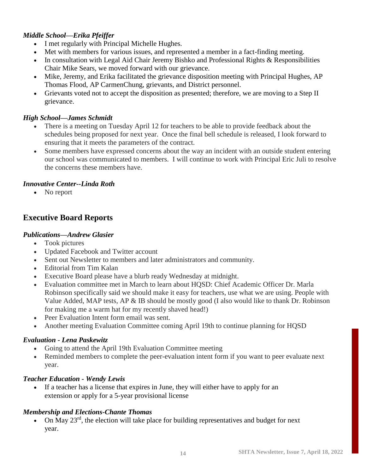#### *Middle School—Erika Pfeiffer*

- I met regularly with Principal Michelle Hughes.
- Met with members for various issues, and represented a member in a fact-finding meeting.
- In consultation with Legal Aid Chair Jeremy Bishko and Professional Rights & Responsibilities Chair Mike Sears, we moved forward with our grievance.
- Mike, Jeremy, and Erika facilitated the grievance disposition meeting with Principal Hughes, AP Thomas Flood, AP CarmenChung, grievants, and District personnel.
- Grievants voted not to accept the disposition as presented; therefore, we are moving to a Step II grievance.

#### *High School—James Schmidt*

- There is a meeting on Tuesday April 12 for teachers to be able to provide feedback about the schedules being proposed for next year. Once the final bell schedule is released, I look forward to ensuring that it meets the parameters of the contract.
- Some members have expressed concerns about the way an incident with an outside student entering our school was communicated to members. I will continue to work with Principal Eric Juli to resolve the concerns these members have.

#### *Innovative Center--Linda Roth*

• No report

## **Executive Board Reports**

#### *Publications—Andrew Glasier*

- Took pictures
- Updated Facebook and Twitter account
- Sent out Newsletter to members and later administrators and community.
- Editorial from Tim Kalan
- Executive Board please have a blurb ready Wednesday at midnight.
- Evaluation committee met in March to learn about HQSD: Chief Academic Officer Dr. Marla Robinson specifically said we should make it easy for teachers, use what we are using. People with Value Added, MAP tests, AP & IB should be mostly good (I also would like to thank Dr. Robinson for making me a warm hat for my recently shaved head!)
- Peer Evaluation Intent form email was sent.
- Another meeting Evaluation Committee coming April 19th to continue planning for HQSD

#### *Evaluation - Lena Paskewitz*

- Going to attend the April 19th Evaluation Committee meeting
- Reminded members to complete the peer-evaluation intent form if you want to peer evaluate next year.

#### *Teacher Education - Wendy Lewis*

• If a teacher has a license that expires in June, they will either have to apply for an extension or apply for a 5-year provisional license

#### *Membership and Elections-Chante Thomas*

• On May  $23^{rd}$ , the election will take place for building representatives and budget for next year.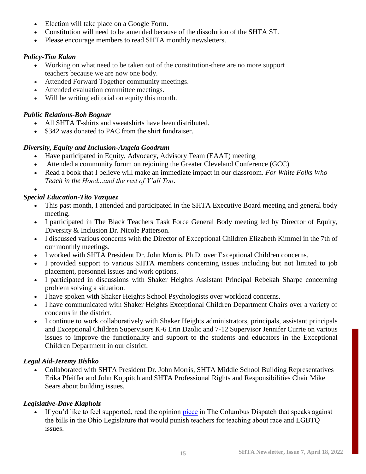- Election will take place on a Google Form.
- Constitution will need to be amended because of the dissolution of the SHTA ST.
- Please encourage members to read SHTA monthly newsletters.

#### *Policy-Tim Kalan*

- Working on what need to be taken out of the constitution-there are no more support teachers because we are now one body.
- Attended Forward Together community meetings.
- Attended evaluation committee meetings.
- Will be writing editorial on equity this month.

#### *Public Relations-Bob Bognar*

- All SHTA T-shirts and sweatshirts have been distributed.
- \$342 was donated to PAC from the shirt fundraiser.

#### *Diversity, Equity and Inclusion-Angela Goodrum*

- Have participated in Equity, Advocacy, Advisory Team (EAAT) meeting
- Attended a community forum on rejoining the Greater Cleveland Conference (GCC)
- Read a book that I believe will make an immediate impact in our classroom. *For White Folks Who Teach in the Hood...and the rest of Y'all Too*.

•

#### *Special Education-Tito Vazquez*

- This past month, I attended and participated in the SHTA Executive Board meeting and general body meeting.
- I participated in The Black Teachers Task Force General Body meeting led by Director of Equity, Diversity & Inclusion Dr. Nicole Patterson.
- I discussed various concerns with the Director of Exceptional Children Elizabeth Kimmel in the 7th of our monthly meetings.
- I worked with SHTA President Dr. John Morris, Ph.D. over Exceptional Children concerns.
- I provided support to various SHTA members concerning issues including but not limited to job placement, personnel issues and work options.
- I participated in discussions with Shaker Heights Assistant Principal Rebekah Sharpe concerning problem solving a situation.
- I have spoken with Shaker Heights School Psychologists over workload concerns.
- I have communicated with Shaker Heights Exceptional Children Department Chairs over a variety of concerns in the district.
- I continue to work collaboratively with Shaker Heights administrators, principals, assistant principals and Exceptional Children Supervisors K-6 Erin Dzolic and 7-12 Supervisor Jennifer Currie on various issues to improve the functionality and support to the students and educators in the Exceptional Children Department in our district.

#### *Legal Aid-Jeremy Bishko*

• Collaborated with SHTA President Dr. John Morris, SHTA Middle School Building Representatives Erika Pfeiffer and John Koppitch and SHTA Professional Rights and Responsibilities Chair Mike Sears about building issues.

#### *Legislative-Dave Klapholz*

If you'd like to feel supported, read the opinion [piece](https://www.dispatch.com/story/opinion/editorials/2022/04/10/what-impact-would-house-bill-616-have-ohio-educators-dont-day-gay-divisive-concepts-culture-war/9476556002/) in The Columbus Dispatch that speaks against the bills in the Ohio Legislature that would punish teachers for teaching about race and LGBTQ issues.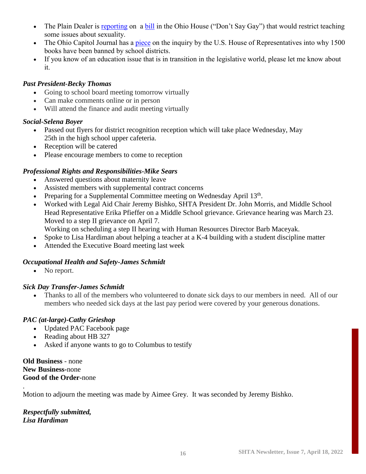- The Plain Dealer is [reporting](https://www.cleveland.com/news/2022/04/ohio-chamber-of-commerce-concerned-about-dont-say-gay-and-racism-education-bill.html) on a [bill](https://search-prod.lis.state.oh.us/solarapi/v1/general_assembly_134/bills/hb616/IN/00/hb616_00_IN?format=pdf) in the Ohio House ("Don't Say Gay") that would restrict teaching some issues about sexuality.
- The Ohio Capitol Journal has a [piece](https://ohiocapitaljournal.com/briefs/more-than-1500-books-have-been-banned-in-public-schools-and-a-u-s-house-panel-asks-why/) on the inquiry by the U.S. House of Representatives into why 1500 books have been banned by school districts.
- If you know of an education issue that is in transition in the legislative world, please let me know about it.

#### *Past President-Becky Thomas*

- Going to school board meeting tomorrow virtually
- Can make comments online or in person
- Will attend the finance and audit meeting virtually

#### *Social-Selena Boyer*

- Passed out flyers for district recognition reception which will take place Wednesday, May 25th in the high school upper cafeteria.
- Reception will be catered
- Please encourage members to come to reception

#### *Professional Rights and Responsibilities-Mike Sears*

- Answered questions about maternity leave
- Assisted members with supplemental contract concerns
- Preparing for a Supplemental Committee meeting on Wednesday April 13<sup>th</sup>.
- Worked with Legal Aid Chair Jeremy Bishko, SHTA President Dr. John Morris, and Middle School Head Representative Erika Pfieffer on a Middle School grievance. Grievance hearing was March 23. Moved to a step II grievance on April 7.
	- Working on scheduling a step II hearing with Human Resources Director Barb Maceyak.
- Spoke to Lisa Hardiman about helping a teacher at a K-4 building with a student discipline matter
- Attended the Executive Board meeting last week

#### *Occupational Health and Safety-James Schmidt*

• No report.

#### *Sick Day Transfer-James Schmidt*

• Thanks to all of the members who volunteered to donate sick days to our members in need. All of our members who needed sick days at the last pay period were covered by your generous donations.

#### *PAC (at-large)-Cathy Grieshop*

- Updated PAC Facebook page
- Reading about HB 327
- Asked if anyone wants to go to Columbus to testify

#### **Old Business** - none **New Business-**none **Good of the Order-**none

.

Motion to adjourn the meeting was made by Aimee Grey. It was seconded by Jeremy Bishko.

*Respectfully submitted, Lisa Hardiman*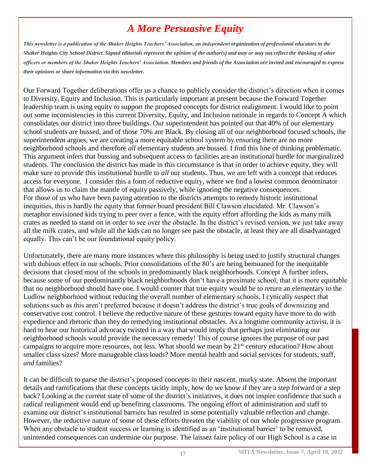## *A More Persuasive Equity*

*This newsletter is a publication of the Shaker Heights Teachers' Association, an independent organization of professional educators in the Shaker Heights City School District. Signed editorials represent the opinion of the author(s) and may or may not reflect the thinking of other officers or members of the Shaker Heights Teachers' Association. Members and friends of the Association are invited and encouraged to express their opinions or share information via this newsletter.*

Our Forward Together deliberations offer us a chance to publicly consider the district's direction when it comes to Diversity, Equity and Inclusion. This is particularly important at present because the Forward Together leadership team is using equity to support the proposed concepts for district realignment. I would like to point out some inconsistencies in this current Diversity, Equity, and Inclusion rationale in regards to Concept A which consolidates our district into three buildings. Our superintendent has pointed out that 40% of our elementary school students are bussed, and of those 70% are Black. By closing all of our neighborhood focused schools, the superintendent argues, we are creating a more equitable school system by ensuring there are no more neighborhood schools and therefore *all* elementary students are bussed. I find this line of thinking problematic. This argument infers that bussing and subsequent access to facilities are an institutional hurdle for marginalized students. The conclusion the district has made in this circumstance is that in order to achieve equity, they will make sure to provide this institutional hurdle to *all* our students. Thus, we are left with a concept that reduces access for everyone. I consider this a form of reductive equity, where we find a lowest common denominator that allows us to claim the mantle of equity passively, while ignoring the negative consequences. For those of us who have been paying attention to the districts attempts to remedy historic institutional inequities, this is hardly the equity that former board president Bill Clawson elucidated. Mr. Clawson's metaphor envisioned kids trying to peer over a fence, with the equity effort affording the kids as many milk crates as needed to stand on in order to see over the obstacle. In the district's revised version, we just take away all the milk crates, and while all the kids can no longer see past the obstacle, at least they are all disadvantaged equally. This can't be our foundational equity policy.

Unfortunately, there are many more instances where this philosophy is being used to justify structural changes with dubious effect in our schools. Prior consolidations of the 80's are being bemoaned for the inequitable decisions that closed most of the schools in predominantly black neighborhoods. Concept A further infers, because some of our predominantly black neighborhoods don't have a proximate school, that it is more equitable that no neighborhood should have one. I would counter that true equity would be to return an elementary to the Ludlow neighborhood without reducing the overall number of elementary schools. I cynically suspect that solutions such as this aren't preferred because it doesn't address the district's true goals of downsizing and conservative cost control. I believe the reductive nature of these gestures toward equity have more to do with expedience and rhetoric than they do remedying institutional obstacles. As a longtime community activist, it is hard to hear our historical advocacy twisted in a way that would imply that perhaps just eliminating our neighborhood schools would provide the necessary remedy! This of course ignores the purpose of our past campaigns to acquire more resources, not less. What should we mean by  $21<sup>st</sup>$  century education? How about smaller class sizes? More manageable class loads? More mental health and social services for students, staff, *and* families?

It can be difficult to parse the district's proposed concepts in their nascent, murky state. Absent the important details and ramifications that these concepts tacitly imply, how do we know if they are a step forward or a step back? Looking at the current state of some of the district's initiatives, it does not inspire confidence that such a radical realignment would end up benefiting classrooms. The ongoing effort of administration and staff to examine our district's institutional barriers has resulted in some potentially valuable reflection and change. However, the reductive nature of some of these efforts threaten the viability of our whole progressive program. When any obstacle to student success or learning is identified as an 'institutional barrier' to be removed, unintended consequences can undermine our purpose. The laissez faire policy of our High School is a case in